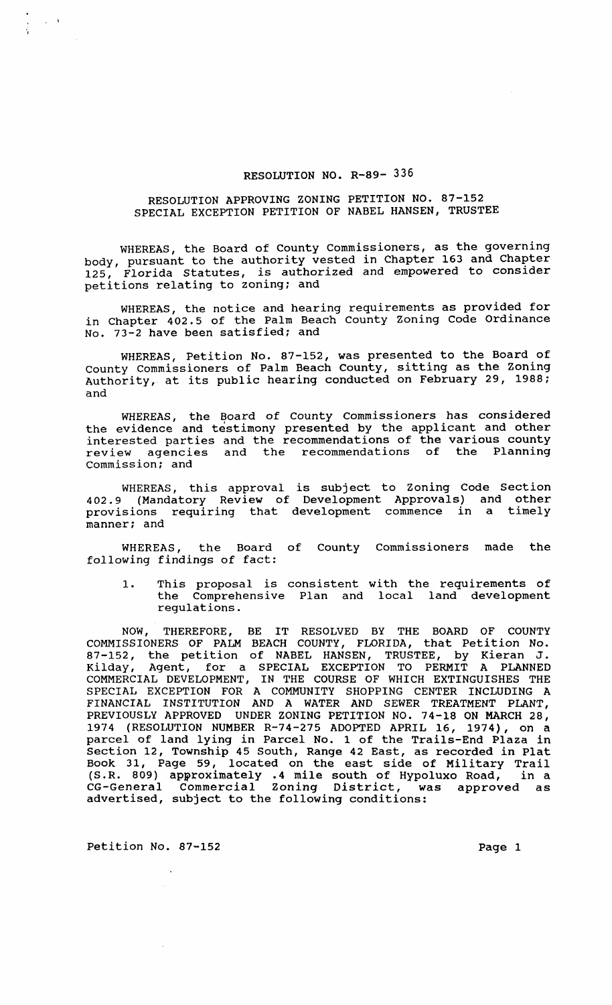## RESOLUTION NO. R-89- 336

## RESOLUTION APPROVING ZONING PETITION NO. 87-152 SPECIAL EXCEPTION PETITION OF NABEL HANSEN, TRUSTEE

WHEREAS, the Board of County Commissioners, as the governing body, pursuant to the authority vested in Chapter 163 and Chapter 125, Florida Statutes, is authorized and empowered to consider petitions relating to zoning; and

WHEREAS, the notice and hearing requirements as provided for in Chapter 402.5 of the Palm Beach County zoning Code Ordinance No. 73-2 have been satisfied; and

WHEREAS, Petition No. 87-152, was presented to the Board of County Commissioners of Palm Beach County, sitting as the zoning Authority, at its public hearing conducted on February 29, 1988; and

WHEREAS, the Board of County Commissioners has considered the evidence and testimony presented by the applicant and other interested parties and the recommendations of the various county review agencies and the recommendations of the Planning commission; and

WHEREAS, this approval is subject to Zoning Code Section 402.9 (Mandatory Review of Development Approvals) and other provisions requiring that development commence in a timely manner; and

WHEREAS, the Board of County Commissioners made the following findings of fact:

1. This proposal is consistent with the requirements of the Comprehensive Plan and local land development regulations.

NOW, THEREFORE, BE IT RESOLVED BY THE BOARD OF COUNTY COMMISSIONERS OF PALM BEACH COUNTY, FLORIDA, that Petition No. 87-152, the petition of NABEL HANSEN, TRUSTEE, by Kieran J. Kilday, Agent, for a SPECIAL EXCEPTION TO PERMIT A PLANNED COMMERCIAL DEVELOPMENT, IN THE COURSE OF WHICH EXTINGUISHES THE SPECIAL EXCEPTION FOR A COMMUNITY SHOPPING CENTER INCLUDING A FINANCIAL INSTITUTION AND A WATER AND SEWER TREATMENT PLANT, PREVIOUSLY APPROVED UNDER ZONING PETITION NO. 74-18 ON MARCH 28, 1974 (RESOLUTION NUMBER R-74-275 ADOPTED APRIL 16, 1974), on a parcel of land lying in Parcel No. 1 of the Trails-End Plaza in section 12, Township 45 South, Range 42 East, as recorded in Plat Book 31, Page 59, located on the east side of Military Trail (S.R. 809) approximately .4 mile south of Hypoluxo Road, in a CG-General Commercial Zoning District, was approved as advertised, subject to the following conditions:

Petition No. 87-152 Page 1

, \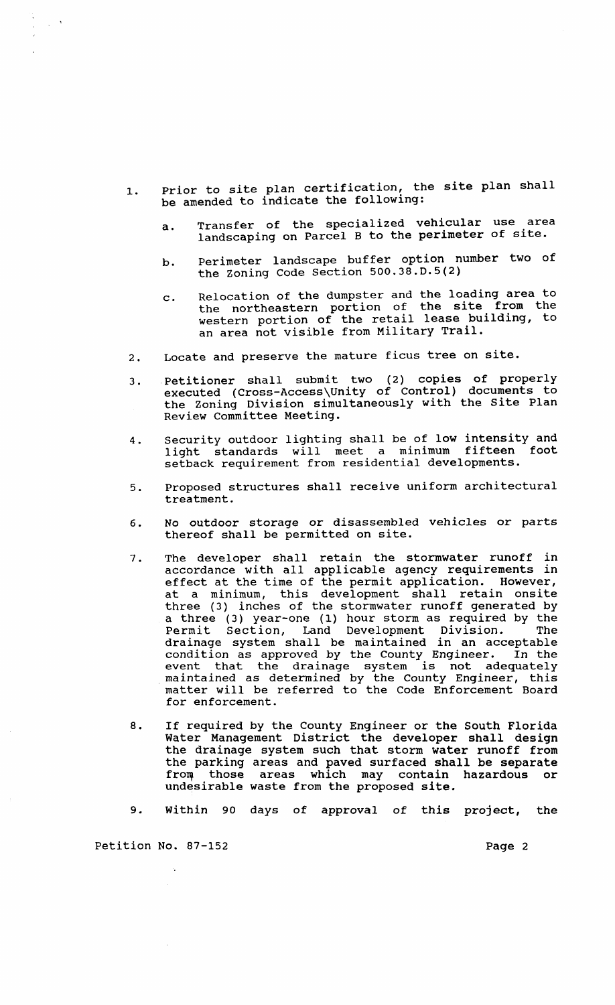- 1. Prior to site plan certification, the site plan shall be amended to indicate the following:
	- a. Transfer of the specialized vehicular use area landscaping on Parcel B to the perimeter of site.
	- b. Perimeter landscape buffer option number two of the zoning Code section 500.38.D.5(2)
	- c. Relocation of the dumpster and the loading area to the northeastern portion of the site from the western portion of the retail lease building, to an area not visible from Military Trail.
- 2. Locate and preserve the mature ficus tree on site.
- 3. Petitioner shall submit two (2) copies of properly executed (Cross-Access\Unity of Control) documents to executed (Cross Access only of control) accuments to Review Committee Meeting.
- 4. security outdoor lighting shall be of low intensity and light standards will meet a minimum fifteen foot setback requirement from residential developments.
- 5. Proposed structures shall receive uniform architectural treatment.
- 6. No outdoor storage or disassembled vehicles or parts thereof shall be permitted on site.
- 7. The developer shall retain the stormwater runoff in accordance with all applicable agency requirements in effect at the time of the permit application. However, at a minimum, this development shall retain onsite three (3) inches of the stormwater runoff generated by a three (3) year-one (1) hour storm as required by the Permit section, Land Development Division. The drainage system shall be maintained in an acceptable condition as approved by the County Engineer. In the event that the drainage system is not adequately<br>maintained as determined by the County Engineer, this matter will be referred to the Code Enforcement Board for enforcement.
- 8. If required by the County Engineer or the South Florida water Management District the developer shall design the drainage system such that storm water runoff from the parking areas and paved surfaced shall be separate from those areas which may contain hazardous or undesirable waste from the proposed site.
- 9. within 90 days of approval of this project, the

Petition No. 87-152 Page 2

 $\sim 10^4$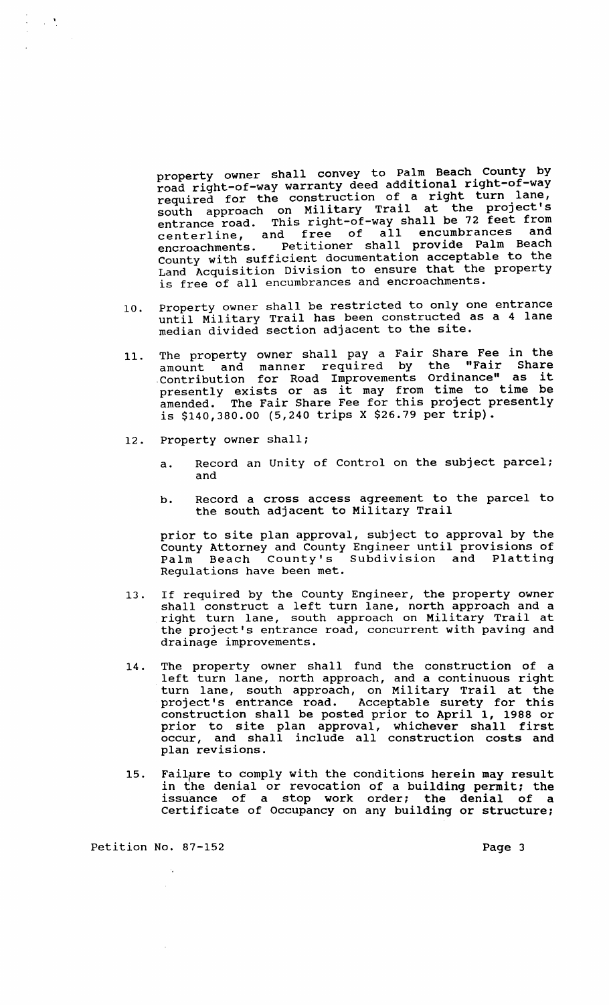property owner shall convey to Palm Beach County by road right-of-way warranty deed additional right-of-way required for the construction of a right turn lane, required for the conscruction of the project's entrance road. This right-of-way shall be 72 feet from entrance road. This right of war bharr we have contained and encroachments. Petitioner shall provide Palm Beach County with sufficient documentation acceptable to the Land Acquisition Division to ensure that the property is free of all encumbrances and encroachments.

- 10. Property owner shall be restricted to only one entrance until Military Trail has been constructed as a 4 lane median divided section adjacent to the site.
- 11. The property owner shall pay a Fair Share Fee in the amount and manner required by the "Fair Share . contribution for Road Improvements Ordinance" as it Contribution for Road Improvements Ordinance as it amended. The Fair Share Fee for this project presently is \$140,380.00 (5,240 trips X \$26.79 per trip).
- 12. Property owner shall;

 $\frac{1}{2}$  and  $\frac{1}{2}$ 

- a. Record an Unity of Control on the subject parcel; and
- b. Record a cross access agreement to the parcel to the south adjacent to Military Trail

prior to site plan approval, subject to approval by the County Attorney and County Engineer until provisions of Palm Beach County's Subdivision and Platting Regulations have been met.

- 13. If required by the County Engineer, the property owner It required by the councy inginear, and property owner shail conscruce a refe carn rane, north approach and a the project's entrance road, concurrent with paving and drainage improvements.
- 14. The property owner shall fund the construction of a left turn lane, north approach, and a continuous right turn lane, south approach, and a concinuous right<br>turn lane, south approach, on Military Trail at the earn rane, south approach, on hiricary frain at the<br>project's entrance road. Acceptable surety for this construction shall be posted prior to April 1, 1988 or prior to site plan approval, whichever shall first occur, and shall include all construction costs and plan revisions.
- 15. Failure to comply with the conditions herein may result in the denial or revocation of a building permit; the issuance of a stop work order; the denial of a Certificate of Occupancy on any building or structure;

Petition No. 87-152 Page 3